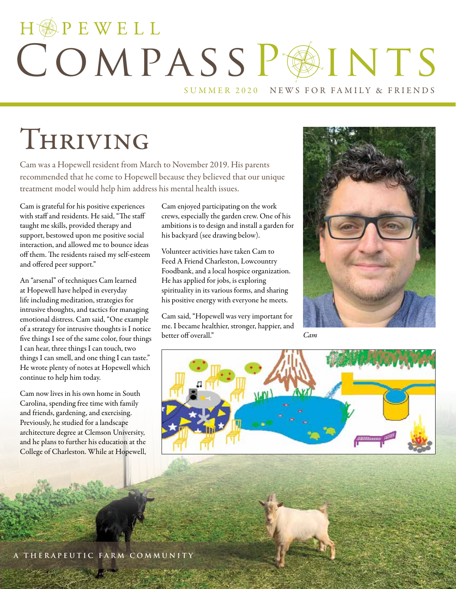# HOPEWELL COMPASSPAINTS

SUMMER 2020 NEWS FOR FAMILY & FRIENDS

# Thriving

Cam was a Hopewell resident from March to November 2019. His parents recommended that he come to Hopewell because they believed that our unique treatment model would help him address his mental health issues.

Cam is grateful for his positive experiences with staff and residents. He said, "The staff taught me skills, provided therapy and support, bestowed upon me positive social interaction, and allowed me to bounce ideas off them. The residents raised my self-esteem and offered peer support."

An "arsenal" of techniques Cam learned at Hopewell have helped in everyday life including meditation, strategies for intrusive thoughts, and tactics for managing emotional distress. Cam said, "One example of a strategy for intrusive thoughts is I notice five things I see of the same color, four things I can hear, three things I can touch, two things I can smell, and one thing I can taste." He wrote plenty of notes at Hopewell which continue to help him today.

Cam now lives in his own home in South Carolina, spending free time with family and friends, gardening, and exercising. Previously, he studied for a landscape architecture degree at Clemson University, and he plans to further his education at the College of Charleston. While at Hopewell, Cam enjoyed participating on the work crews, especially the garden crew. One of his ambitions is to design and install a garden for his backyard (see drawing below).

Volunteer activities have taken Cam to Feed A Friend Charleston, Lowcountry Foodbank, and a local hospice organization. He has applied for jobs, is exploring spirituality in its various forms, and sharing his positive energy with everyone he meets.

Cam said, "Hopewell was very important for me. I became healthier, stronger, happier, and better off overall." *Cam*



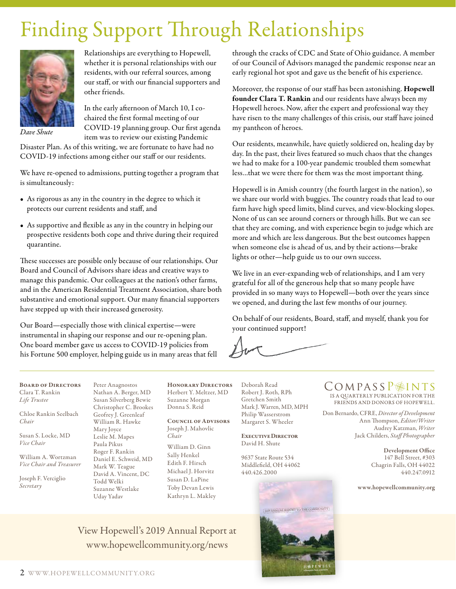## Finding Support Through Relationships



Relationships are everything to Hopewell, whether it is personal relationships with our residents, with our referral sources, among our staff, or with our financial supporters and other friends.

*Dave Shute*

In the early afternoon of March 10, I cochaired the first formal meeting of our COVID-19 planning group. Our first agenda item was to review our existing Pandemic

Disaster Plan. As of this writing, we are fortunate to have had no COVID-19 infections among either our staff or our residents.

We have re-opened to admissions, putting together a program that is simultaneously:

- As rigorous as any in the country in the degree to which it protects our current residents and staff, and
- As supportive and flexible as any in the country in helping our prospective residents both cope and thrive during their required quarantine.

These successes are possible only because of our relationships. Our Board and Council of Advisors share ideas and creative ways to manage this pandemic. Our colleagues at the nation's other farms, and in the American Residential Treatment Association, share both substantive and emotional support. Our many financial supporters have stepped up with their increased generosity.

Our Board—especially those with clinical expertise—were instrumental in shaping our response and our re-opening plan. One board member gave us access to COVID-19 policies from his Fortune 500 employer, helping guide us in many areas that fell

Peter Anagnostos

through the cracks of CDC and State of Ohio guidance. A member of our Council of Advisors managed the pandemic response near an early regional hot spot and gave us the benefit of his experience.

Moreover, the response of our staff has been astonishing. Hopewell founder Clara T. Rankin and our residents have always been my Hopewell heroes. Now, after the expert and professional way they have risen to the many challenges of this crisis, our staff have joined my pantheon of heroes.

Our residents, meanwhile, have quietly soldiered on, healing day by day. In the past, their lives featured so much chaos that the changes we had to make for a 100-year pandemic troubled them somewhat less…that we were there for them was the most important thing.

Hopewell is in Amish country (the fourth largest in the nation), so we share our world with buggies. The country roads that lead to our farm have high speed limits, blind curves, and view-blocking slopes. None of us can see around corners or through hills. But we can see that they are coming, and with experience begin to judge which are more and which are less dangerous. But the best outcomes happen when someone else is ahead of us, and by their actions—brake lights or other—help guide us to our own success.

We live in an ever-expanding web of relationships, and I am very grateful for all of the generous help that so many people have provided in so many ways to Hopewell—both over the years since we opened, and during the last few months of our journey.

On behalf of our residents, Board, staff, and myself, thank you for your continued support!

Board of Directors Clara T. Rankin *Life Trustee*

Chloe Rankin Seelbach *Chair*

Susan S. Locke, MD *Vice Chair*

William A. Wortzman *Vice Chair and Treasurer*

Joseph F. Verciglio *Secretary*

Nathan A. Berger, MD Susan Silverberg Bewie Christopher C. Brookes Geofrey J. Greenleaf William R. Hawke Mary Joyce Leslie M. Mapes Paula Pikus Roger F. Rankin Daniel E. Schweid, MD Mark W. Teague David A. Vincent, DC Todd Welki Suzanne Westlake Uday Yadav

View Hopewell's 2019 Annual Report at www.hopewellcommunity.org/news

HONORARY DIRECTORS Herbert Y. Meltzer, MD Suzanne Morgan Donna S. Reid

Council of Advisors Joseph J. Mahovlic *Chair* William D. Ginn Sally Henkel Edith F. Hirsch Michael J. Horvitz Susan D. LaPine Toby Devan Lewis Kathryn L. Makley

Deborah Read Robert J. Roth, RPh Gretchen Smith Mark J. Warren, MD, MPH Philip Wasserstrom Margaret S. Wheeler

Executive Director David H. Shute

9637 State Route 534 Middlefield, OH 44062 440.426.2000



 $\text{COMPASSP@INTS}$ FRIENDS AND DONORS OF HOPEWELL.

Don Bernardo, CFRE, *Director of Development* Ann Thompson, *Editor/Writer* Audrey Katzman, *Writer*  Jack Childers, *Staff Photographer*

> Development Office 147 Bell Street, #303 Chagrin Falls, OH 44022 440.247.0912

www.hopewellcommunity.org

2 WWW.HOPEWELLCOMMUNIT Y.ORG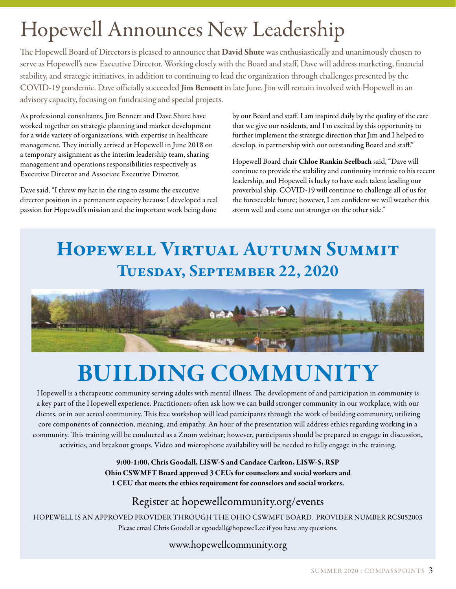# Hopewell Announces New Leadership

The Hopewell Board of Directors is pleased to announce that David Shute was enthusiastically and unanimously chosen to serve as Hopewell's new Executive Director. Working closely with the Board and staff, Dave will address marketing, financial stability, and strategic initiatives, in addition to continuing to lead the organization through challenges presented by the COVID-19 pandemic. Dave officially succeeded Jim Bennett in late June. Jim will remain involved with Hopewell in an advisory capacity, focusing on fundraising and special projects.

As professional consultants, Jim Bennett and Dave Shute have worked together on strategic planning and market development for a wide variety of organizations, with expertise in healthcare management. They initially arrived at Hopewell in June 2018 on a temporary assignment as the interim leadership team, sharing management and operations responsibilities respectively as Executive Director and Associate Executive Director.

Dave said, "I threw my hat in the ring to assume the executive director position in a permanent capacity because I developed a real passion for Hopewell's mission and the important work being done

by our Board and staff. I am inspired daily by the quality of the care that we give our residents, and I'm excited by this opportunity to further implement the strategic direction that Jim and I helped to develop, in partnership with our outstanding Board and staff."

Hopewell Board chair Chloe Rankin Seelbach said, "Dave will continue to provide the stability and continuity intrinsic to his recent leadership, and Hopewell is lucky to have such talent leading our proverbial ship. COVID-19 will continue to challenge all of us for the foreseeable future; however, I am confident we will weather this storm well and come out stronger on the other side."

### Hopewell Virtual Autumn Summit Tuesday, September 22, 2020



# BUILDING COMMUNITY

Hopewell is a therapeutic community serving adults with mental illness. The development of and participation in community is a key part of the Hopewell experience. Practitioners often ask how we can build stronger community in our workplace, with our clients, or in our actual community. This free workshop will lead participants through the work of building community, utilizing core components of connection, meaning, and empathy. An hour of the presentation will address ethics regarding working in a community. This training will be conducted as a Zoom webinar; however, participants should be prepared to engage in discussion, activities, and breakout groups. Video and microphone availability will be needed to fully engage in the training.

> 9:00-1:00, Chris Goodall, LISW-S and Candace Carlton, LISW-S, RSP Ohio CSWMFT Board approved 3 CEUs for counselors and social workers and 1 CEU that meets the ethics requirement for counselors and social workers.

#### Register at hopewellcommunity.org/events

HOPEWELL IS AN APPROVED PROVIDER THROUGH THE OHIO CSWMFT BOARD. PROVIDER NUMBER RCS052003 Please email Chris Goodall at cgoodall@hopewell.cc if you have any questions.

www.hopewellcommunity.org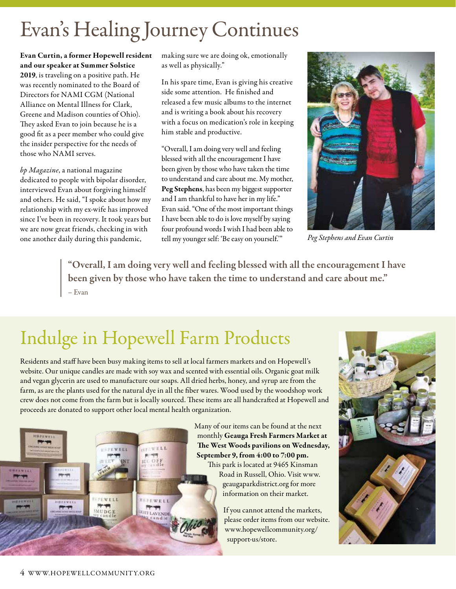### Evan's Healing Journey Continues

Evan Curtin, a former Hopewell resident and our speaker at Summer Solstice 2019, is traveling on a positive path. He was recently nominated to the Board of Directors for NAMI CGM (National Alliance on Mental Illness for Clark, Greene and Madison counties of Ohio). They asked Evan to join because he is a good fit as a peer member who could give the insider perspective for the needs of those who NAMI serves.

*bp Magazine*, a national magazine dedicated to people with bipolar disorder, interviewed Evan about forgiving himself and others. He said, "I spoke about how my relationship with my ex-wife has improved since I've been in recovery. It took years but we are now great friends, checking in with one another daily during this pandemic,

making sure we are doing ok, emotionally as well as physically."

In his spare time, Evan is giving his creative side some attention. He finished and released a few music albums to the internet and is writing a book about his recovery with a focus on medication's role in keeping him stable and productive.

"Overall, I am doing very well and feeling blessed with all the encouragement I have been given by those who have taken the time to understand and care about me. My mother, Peg Stephens, has been my biggest supporter and I am thankful to have her in my life." Evan said. "One of the most important things I have been able to do is love myself by saying four profound words I wish I had been able to tell my younger self: 'Be easy on yourself.'"



*Peg Stephens and Evan Curtin*

"Overall, I am doing very well and feeling blessed with all the encouragement I have been given by those who have taken the time to understand and care about me." – Evan

### Indulge in Hopewell Farm Products

 $v \in L$ L

**HEPEWELL ETT** 

Residents and staff have been busy making items to sell at local farmers markets and on Hopewell's website. Our unique candles are made with soy wax and scented with essential oils. Organic goat milk and vegan glycerin are used to manufacture our soaps. All dried herbs, honey, and syrup are from the farm, as are the plants used for the natural dye in all the fiber wares. Wood used by the woodshop work crew does not come from the farm but is locally sourced. These items are all handcrafted at Hopewell and proceeds are donated to support other local mental health organization.



Road in Russell, Ohio. Visit www. geaugaparkdistrict.org for more information on their market.

If you cannot attend the markets, please order items from our website. www.hopewellcommunity.org/ support-us/store.



**TEWELL** 

WUDCE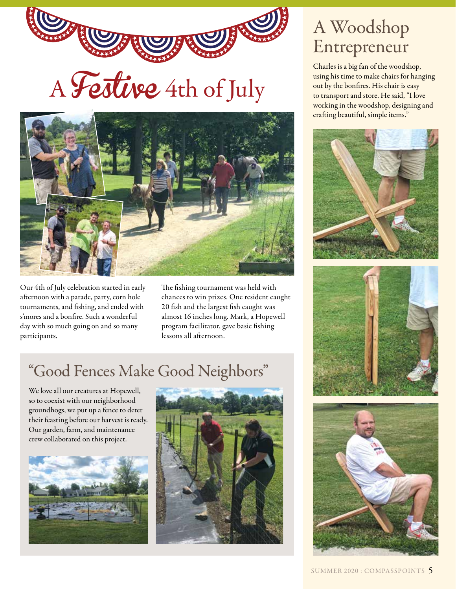



Our 4th of July celebration started in early afternoon with a parade, party, corn hole tournaments, and fishing, and ended with s'mores and a bonfire. Such a wonderful day with so much going on and so many participants.

The fishing tournament was held with chances to win prizes. One resident caught 20 fish and the largest fish caught was almost 16 inches long. Mark, a Hopewell program facilitator, gave basic fishing lessons all afternoon.

### "Good Fences Make Good Neighbors"

We love all our creatures at Hopewell, so to coexist with our neighborhood groundhogs, we put up a fence to deter their feasting before our harvest is ready. Our garden, farm, and maintenance crew collaborated on this project.





### A Woodshop Entrepreneur

Charles is a big fan of the woodshop, using his time to make chairs for hanging out by the bonfires. His chair is easy to transport and store. He said, "I love working in the woodshop, designing and crafting beautiful, simple items."





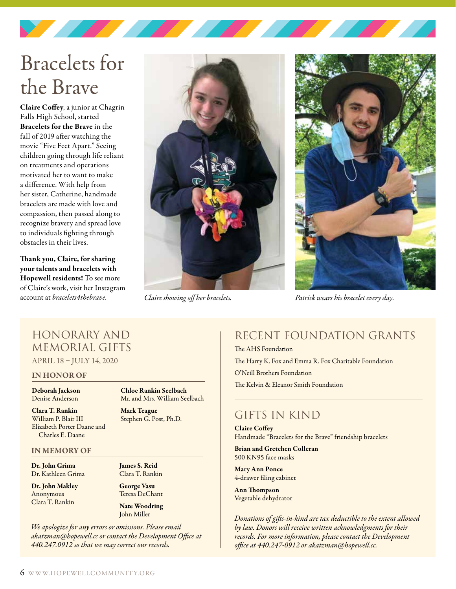## Bracelets for the Brave

Claire Coffey, a junior at Chagrin Falls High School, started Bracelets for the Brave in the fall of 2019 after watching the movie "Five Feet Apart." Seeing children going through life reliant on treatments and operations motivated her to want to make a difference. With help from her sister, Catherine, handmade bracelets are made with love and compassion, then passed along to recognize bravery and spread love to individuals fighting through obstacles in their lives.

Thank you, Claire, for sharing your talents and bracelets with Hopewell residents! To see more of Claire's work, visit her Instagram account at *bracelets4thebrave*. *Claire showing off her bracelets. Patrick wears his bracelet every day.*





#### Honorary and Memorial Gifts APRIL 18 – JULY 14, 2020

#### IN HONOR OF

Deborah Jackson Denise Anderson

Clara T. Rankin William P. Blair III Elizabeth Porter Daane and Charles E. Daane

#### IN MEMORY OF

Dr. John Grima Dr. Kathleen Grima

Dr. John Makley Anonymous Clara T. Rankin

Chloe Rankin Seelbach Mr. and Mrs. William Seelbach Mark Teague

Stephen G. Post, Ph.D.

James S. Reid Clara T. Rankin

George Vasu Teresa DeChant

Nate Woodring John Miller

*We apologize for any errors or omissions. Please email akatzman@hopewell.cc or contact the Development Office at 440.247.0912 so that we may correct our records.*

#### RECENT FOUNDATION GRANTS

The AHS Foundation The Harry K. Fox and Emma R. Fox Charitable Foundation O'Neill Brothers Foundation The Kelvin & Eleanor Smith Foundation

#### Gifts in Kind

Claire Coffey Handmade "Bracelets for the Brave" friendship bracelets

Brian and Gretchen Colleran 500 KN95 face masks

Mary Ann Ponce 4-drawer filing cabinet

Ann Thompson Vegetable dehydrator

*Donations of gifts-in-kind are tax deductible to the extent allowed by law. Donors will receive written acknowledgments for their records. For more information, please contact the Development office at 440.247-0912 or akatzman@hopewell.cc.*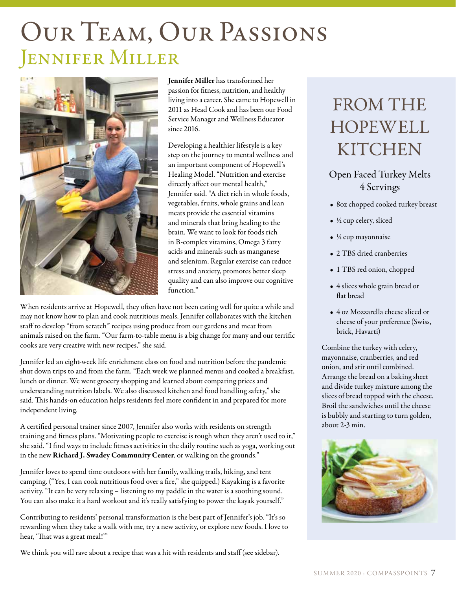# Our Team, Our Passions Jennifer Miller



Jennifer Miller has transformed her passion for fitness, nutrition, and healthy living into a career. She came to Hopewell in 2011 as Head Cook and has been our Food Service Manager and Wellness Educator since 2016.

Developing a healthier lifestyle is a key step on the journey to mental wellness and an important component of Hopewell's Healing Model. "Nutrition and exercise directly affect our mental health," Jennifer said. "A diet rich in whole foods, vegetables, fruits, whole grains and lean meats provide the essential vitamins and minerals that bring healing to the brain. We want to look for foods rich in B-complex vitamins, Omega 3 fatty acids and minerals such as manganese and selenium. Regular exercise can reduce stress and anxiety, promotes better sleep quality and can also improve our cognitive function."

When residents arrive at Hopewell, they often have not been eating well for quite a while and may not know how to plan and cook nutritious meals. Jennifer collaborates with the kitchen staff to develop "from scratch" recipes using produce from our gardens and meat from animals raised on the farm. "Our farm-to-table menu is a big change for many and our terrific cooks are very creative with new recipes," she said.

Jennifer led an eight-week life enrichment class on food and nutrition before the pandemic shut down trips to and from the farm. "Each week we planned menus and cooked a breakfast, lunch or dinner. We went grocery shopping and learned about comparing prices and understanding nutrition labels. We also discussed kitchen and food handling safety," she said. This hands-on education helps residents feel more confident in and prepared for more independent living.

A certified personal trainer since 2007, Jennifer also works with residents on strength training and fitness plans. "Motivating people to exercise is tough when they aren't used to it," she said. "I find ways to include fitness activities in the daily routine such as yoga, working out in the new Richard J. Swadey Community Center, or walking on the grounds."

Jennifer loves to spend time outdoors with her family, walking trails, hiking, and tent camping. ("Yes, I can cook nutritious food over a fire," she quipped.) Kayaking is a favorite activity. "It can be very relaxing – listening to my paddle in the water is a soothing sound. You can also make it a hard workout and it's really satisfying to power the kayak yourself."

Contributing to residents' personal transformation is the best part of Jennifer's job. "It's so rewarding when they take a walk with me, try a new activity, or explore new foods. I love to hear, 'That was a great meal!'"

We think you will rave about a recipe that was a hit with residents and staff (see sidebar).

### FROM THE HOPEWELL **KITCHEN**

#### Open Faced Turkey Melts 4 Servings

- 8oz chopped cooked turkey breast
- ½ cup celery, sliced
- ¼ cup mayonnaise
- 2 TBS dried cranberries
- 1 TBS red onion, chopped
- 4 slices whole grain bread or flat bread
- 4 oz Mozzarella cheese sliced or cheese of your preference (Swiss, brick, Havarti)

Combine the turkey with celery, mayonnaise, cranberries, and red onion, and stir until combined. Arrange the bread on a baking sheet and divide turkey mixture among the slices of bread topped with the cheese. Broil the sandwiches until the cheese is bubbly and starting to turn golden, about 2-3 min.